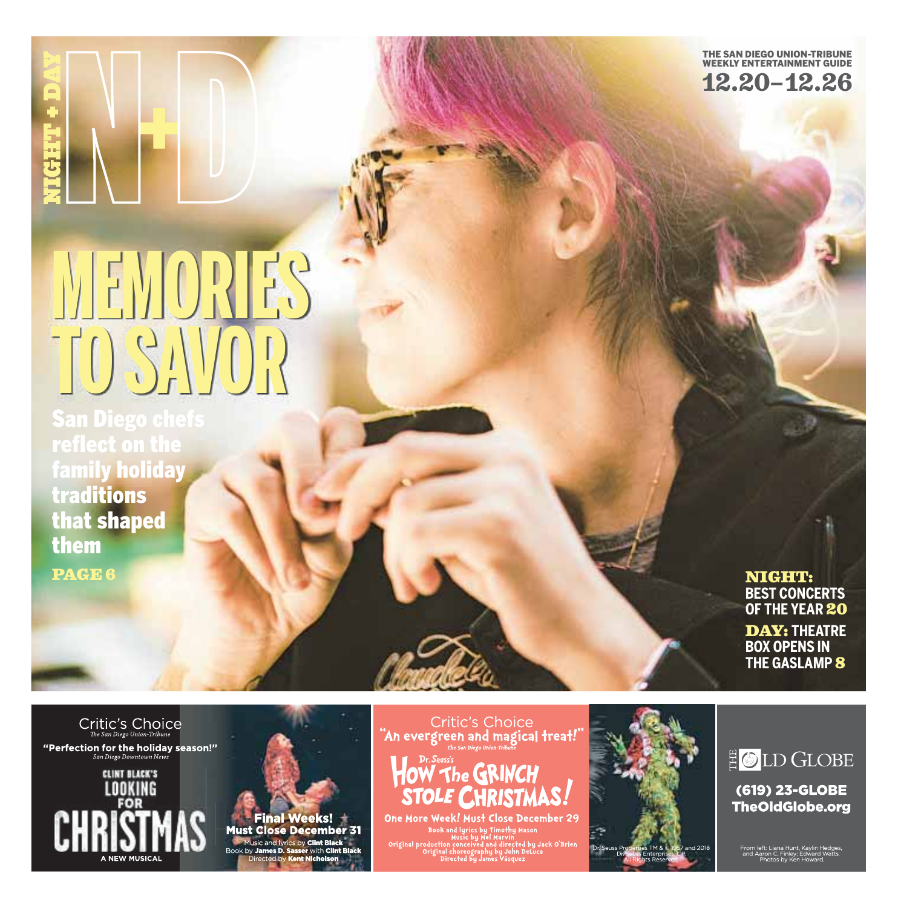

## **MEMORIES TO SAVOR**

**San Diego che** reflect on the family holiday traditions that shaped them PAGE 6

NIGHT: **BEST CONCERTS OF THE YEAR** 20 DAY: **THEATRE**

**BOX OPENS IN THE GASLAMP** 8

 $\label{eq:1} \textit{Critic's Choice} \underset{\textit{The San Diego Union-Tribune}}{\textit{C}} \textit{C}$ "Perfection for the holiday season!"<br>San Diego Downtown News

ED LOOKING<br>CHRISTM



Critic's Choice<br>"An evergreen and magical freat!"<br>"An evergreen and magical freat!"



One More Week! Must Close December 29 Book and lyrics by Timothy Mason<br>Book and lyrics by Timothy Mason<br>Original production conceived and directed by Jack O'Brier<br>Original choreography by John DeLuca<br>Directed by James Vásquez



E OLD GLOBE

(619) 23-GLOBE **TheOldGlobe.org**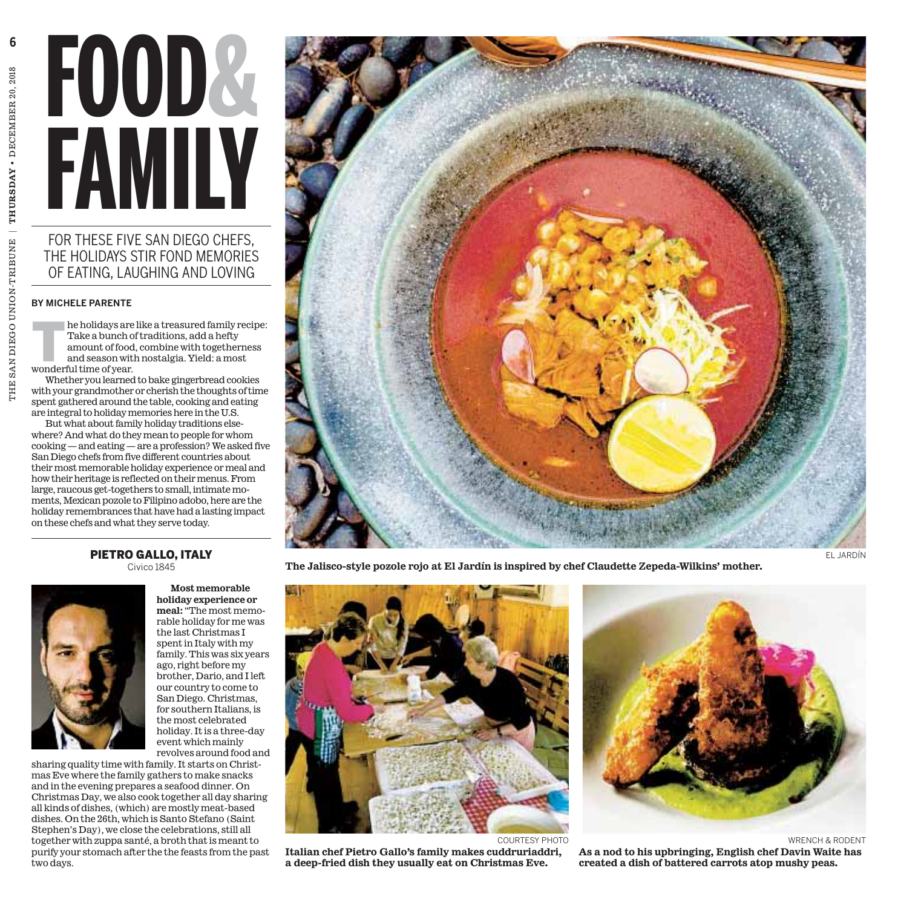# **FOOD& FAMILY**

## FOR THESE FIVE SAN DIEGO CHEFS. THE HOLIDAYS STIR FOND MEMORIES OF EATING, LAUGHING AND LOVING

### **BY MICHELE PARENTE**

he holidays are like a treasured family recipe: Take a bunch of traditions, add a hefty amount of food, combine with togetherness and season with nostalgia. Yield: a most wonderful time of year.

Whether you learned to bake gingerbread cookies with your grandmother or cherish the thoughts of time spent gathered around the table, cooking and eating are integral to holidaymemories here in the U.S.

But what about family holiday traditions elsewhere? And what do theymean to people for whom cooking— and eating— are a profession?We asked five San Diego chefs from five different countries about their most memorable holiday experience or meal and how their heritage is reflected on their menus. From large, raucous get-togethers to small, intimatemoments,Mexican pozole to Filipino adobo, here are the holiday remembrances that have had a lasting impact on these chefs and what they serve today.

### PIETRO GALLO, ITALY Civico 1845



**Most memorable holiday experience or meal:** "The most memorable holiday for me was the last Christmas I spent in Italy with my family. This was six years ago, right before my brother, Dario, and I left our country to come to San Diego. Christmas, for southern Italians, is the most celebrated holiday. It is a three-day event which mainly revolves around food and

sharing quality time with family. It starts on Christmas Eve where the family gathers to make snacks and in the evening prepares a seafood dinner. On Christmas Day, we also cook together all day sharing all kinds of dishes, (which) are mostly meat-based dishes. On the 26th, which is Santo Stefano (Saint Stephen's Day), we close the celebrations, still all together with zuppa santé, a broth that is meant to purify your stomach after the the feasts from the past two days.



**The Jalisco-style pozole rojo at El Jardín is inspired by chef Claudette Zepeda-Wilkins' mother.**



COURTESY PHOTO

**Italian chef Pietro Gallo's family makes cuddruriaddri, a deep-fried dish they usually eat on Christmas Eve.**

WRENCH & RODENT

**As a nod to his upbringing, English chef Davin Waite has created a dish of battered carrots atop mushy peas.**